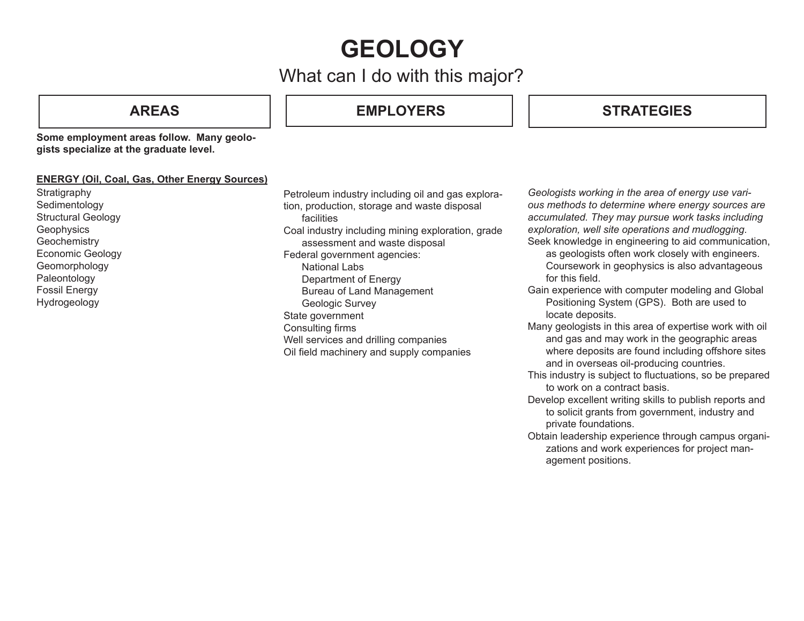# **GEOLOGY**

## What can I do with this major?

**AREAS EMPLOYERS**

## **STRATEGIES**

**Some employment areas follow. Many geologists specialize at the graduate level.**

### **ENERGY (Oil, Coal, Gas, Other Energy Sources)**

**Stratigraphy** Sedimentology Structural Geology **Geophysics Geochemistry** Economic Geology Geomorphology Paleontology Fossil Energy Hydrogeology

Petroleum industry including oil and gas exploration, production, storage and waste disposal facilities Coal industry including mining exploration, grade assessment and waste disposal Federal government agencies: National Labs Department of Energy Bureau of Land Management Geologic Survey State government Consulting firms Well services and drilling companies Oil field machinery and supply companies

*Geologists working in the area of energy use various methods to determine where energy sources are accumulated. They may pursue work tasks including exploration, well site operations and mudlogging.* Seek knowledge in engineering to aid communication,

- as geologists often work closely with engineers. Coursework in geophysics is also advantageous for this field.
- Gain experience with computer modeling and Global Positioning System (GPS). Both are used to locate deposits.
- Many geologists in this area of expertise work with oil and gas and may work in the geographic areas where deposits are found including offshore sites and in overseas oil-producing countries.
- This industry is subject to fluctuations, so be prepared to work on a contract basis.
- Develop excellent writing skills to publish reports and to solicit grants from government, industry and private foundations.
- Obtain leadership experience through campus organizations and work experiences for project management positions.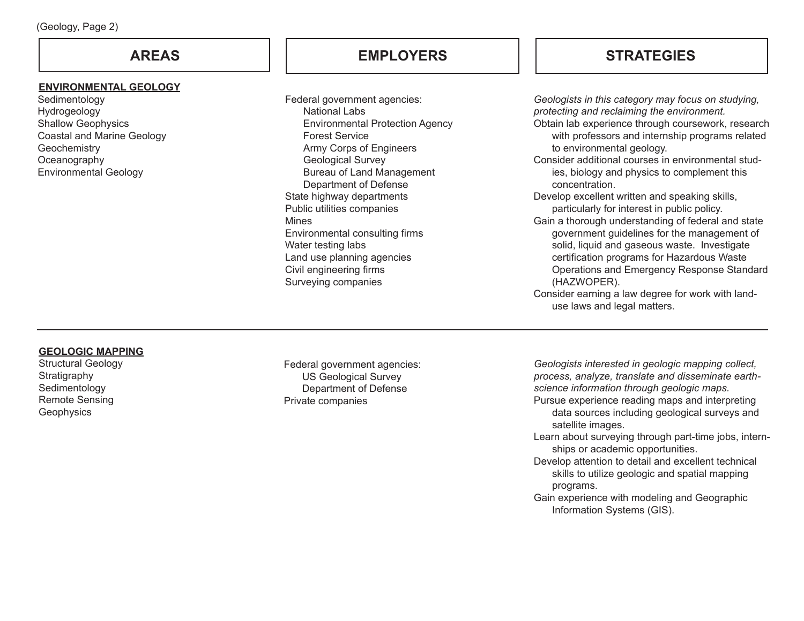#### **ENVIRONMENTAL GEOLOGY**

Sedimentology Hydrogeology Shallow Geophysics Coastal and Marine Geology **Geochemistry Oceanography** Environmental Geology

Federal government agencies: National Labs Environmental Protection Agency Forest Service Army Corps of Engineers Geological Survey Bureau of Land Management Department of Defense State highway departments Public utilities companies Mines Environmental consulting firms Water testing labs Land use planning agencies Civil engineering firms Surveying companies

## **AREAS EMPLOYERS STRATEGIES**

*Geologists in this category may focus on studying, protecting and reclaiming the environment.* Obtain lab experience through coursework, research with professors and internship programs related to environmental geology. Consider additional courses in environmental studies, biology and physics to complement this concentration. Develop excellent written and speaking skills, particularly for interest in public policy. Gain a thorough understanding of federal and state government guidelines for the management of solid, liquid and gaseous waste. Investigate certification programs for Hazardous Waste Operations and Emergency Response Standard (HAZWOPER). Consider earning a law degree for work with landuse laws and legal matters.

#### **GEOLOGIC MAPPING**

Structural Geology Stratigraphy Sedimentology Remote Sensing **Geophysics** 

Federal government agencies: US Geological Survey Department of Defense Private companies

*Geologists interested in geologic mapping collect, process, analyze, translate and disseminate earthscience information through geologic maps.* Pursue experience reading maps and interpreting data sources including geological surveys and satellite images. Learn about surveying through part-time jobs, internships or academic opportunities. Develop attention to detail and excellent technical

- skills to utilize geologic and spatial mapping programs.
- Gain experience with modeling and Geographic Information Systems (GIS).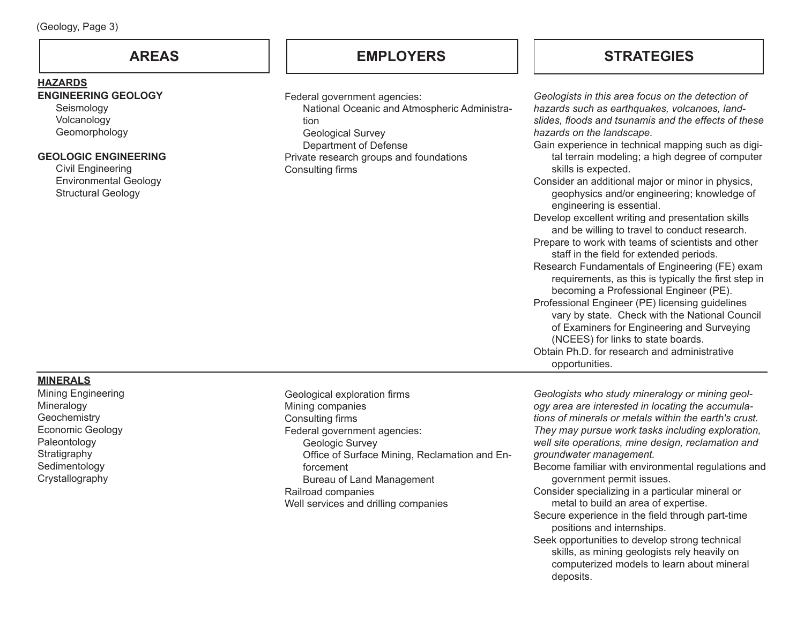#### **HAZARDS**

### **ENGINEERING GEOLOGY**

Seismology Volcanology Geomorphology

#### **GEOLOGIC ENGINEERING**

Civil Engineering Environmental Geology Structural Geology

## **AREAS EMPLOYERS**

Federal government agencies:

 National Oceanic and Atmospheric Administration Geological Survey

Department of Defense

Private research groups and foundations Consulting firms

## **STRATEGIES**

*Geologists in this area focus on the detection of hazards such as earthquakes, volcanoes, landslides, floods and tsunamis and the effects of these hazards on the landscape.* Gain experience in technical mapping such as digital terrain modeling; a high degree of computer skills is expected. Consider an additional major or minor in physics, geophysics and/or engineering; knowledge of engineering is essential. Develop excellent writing and presentation skills and be willing to travel to conduct research. Prepare to work with teams of scientists and other staff in the field for extended periods. Research Fundamentals of Engineering (FE) exam requirements, as this is typically the first step in becoming a Professional Engineer (PE). Professional Engineer (PE) licensing guidelines vary by state. Check with the National Council of Examiners for Engineering and Surveying (NCEES) for links to state boards. Obtain Ph.D. for research and administrative opportunities.

### **MINERALS**

Mining Engineering Mineralogy **Geochemistry** Economic Geology Paleontology **Stratigraphy Sedimentology Crystallography** 

Geological exploration firms Mining companies Consulting firms Federal government agencies: Geologic Survey Office of Surface Mining, Reclamation and Enforcement Bureau of Land Management Railroad companies Well services and drilling companies

*Geologists who study mineralogy or mining geology area are interested in locating the accumulations of minerals or metals within the earth's crust. They may pursue work tasks including exploration, well site operations, mine design, reclamation and groundwater management.* Become familiar with environmental regulations and government permit issues. Consider specializing in a particular mineral or metal to build an area of expertise.

- Secure experience in the field through part-time positions and internships.
- Seek opportunities to develop strong technical skills, as mining geologists rely heavily on computerized models to learn about mineral deposits.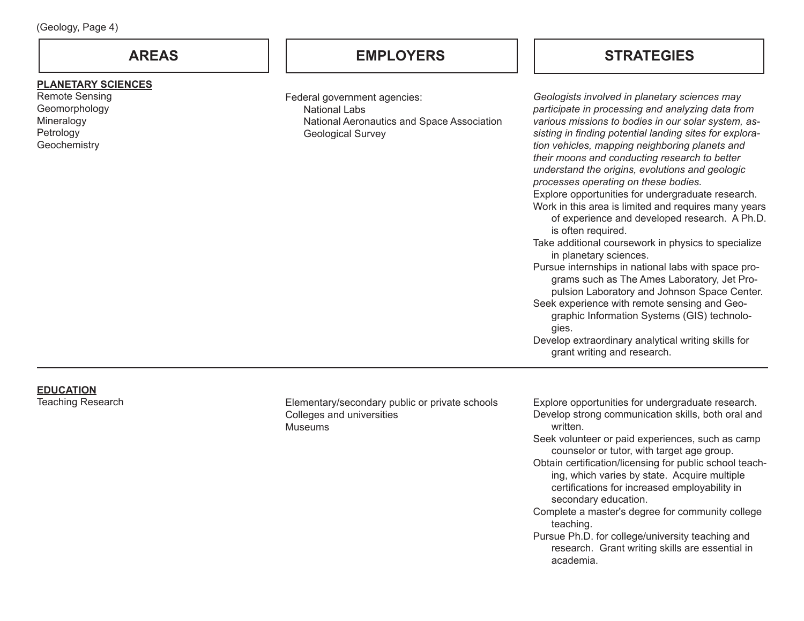### **PLANETARY SCIENCES**

Remote Sensing Geomorphology Mineralogy **Petrology Geochemistry** 

## **AREAS EMPLOYERS STRATEGIES**

Federal government agencies: National Labs National Aeronautics and Space Association Geological Survey

| Geologists involved in planetary sciences may           |
|---------------------------------------------------------|
| participate in processing and analyzing data from       |
| various missions to bodies in our solar system, as-     |
| sisting in finding potential landing sites for explora- |
| tion vehicles, mapping neighboring planets and          |
| their moons and conducting research to better           |
| understand the origins, evolutions and geologic         |
| processes operating on these bodies.                    |
| Explore opportunities for undergraduate research.       |
| Work in this area is limited and requires many years    |
| of experience and developed research. A Ph.D.           |
| is often required.                                      |
| Take additional coursework in physics to specialize     |
| in planetary sciences.                                  |
| Pursue internships in national labs with space pro-     |
| grams such as The Ames Laboratory, Jet Pro-             |
| pulsion Laboratory and Johnson Space Center.            |
| Seek experience with remote sensing and Geo-            |
| graphic Information Systems (GIS) technolo-             |
| gies.                                                   |

Develop extraordinary analytical writing skills for grant writing and research.

# **EDUCATION**<br>Teaching Research

Elementary/secondary public or private schools Colleges and universities Museums

Explore opportunities for undergraduate research. Develop strong communication skills, both oral and written.

Seek volunteer or paid experiences, such as camp counselor or tutor, with target age group.

Obtain certification/licensing for public school teaching, which varies by state. Acquire multiple certifications for increased employability in secondary education.

Complete a master's degree for community college teaching.

Pursue Ph.D. for college/university teaching and research. Grant writing skills are essential in academia.